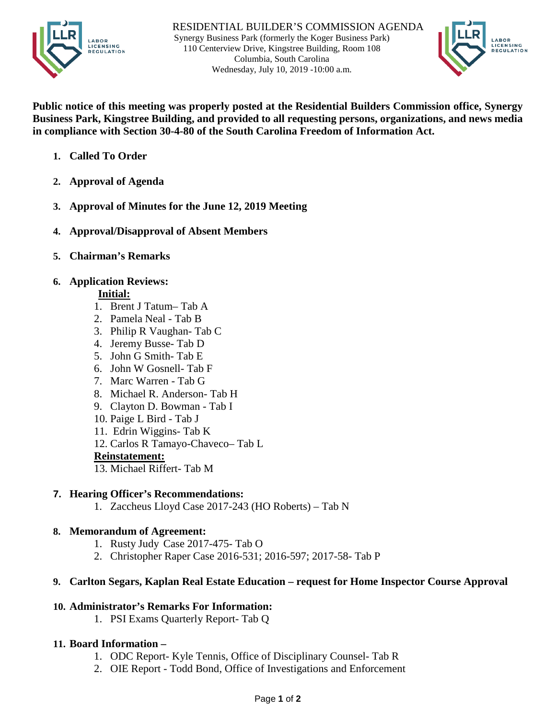



**Public notice of this meeting was properly posted at the Residential Builders Commission office, Synergy Business Park, Kingstree Building, and provided to all requesting persons, organizations, and news media in compliance with Section 30-4-80 of the South Carolina Freedom of Information Act.**

- **1. Called To Order**
- **2. Approval of Agenda**
- **3. Approval of Minutes for the June 12, 2019 Meeting**
- **4. Approval/Disapproval of Absent Members**
- **5. Chairman's Remarks**

### **6. Application Reviews:**

#### **Initial:**

- 1. Brent J Tatum– Tab A
- 2. Pamela Neal Tab B
- 3. Philip R Vaughan- Tab C
- 4. Jeremy Busse- Tab D
- 5. John G Smith- Tab E
- 6. John W Gosnell- Tab F
- 7. Marc Warren Tab G
- 8. Michael R. Anderson- Tab H
- 9. Clayton D. Bowman Tab I
- 10. Paige L Bird Tab J
- 11. Edrin Wiggins- Tab K
- 12. Carlos R Tamayo-Chaveco– Tab L

### **Reinstatement:**

13. Michael Riffert- Tab M

# **7. Hearing Officer's Recommendations:**

1. Zaccheus Lloyd Case 2017-243 (HO Roberts) – Tab N

# **8. Memorandum of Agreement:**

- 1. Rusty Judy Case 2017-475- Tab O
- 2. Christopher Raper Case 2016-531; 2016-597; 2017-58- Tab P

### **9. Carlton Segars, Kaplan Real Estate Education – request for Home Inspector Course Approval**

# **10. Administrator's Remarks For Information:**

- 1. PSI Exams Quarterly Report- Tab Q
- **11. Board Information –**
	- 1. ODC Report- Kyle Tennis, Office of Disciplinary Counsel- Tab R
	- 2. OIE Report Todd Bond, Office of Investigations and Enforcement